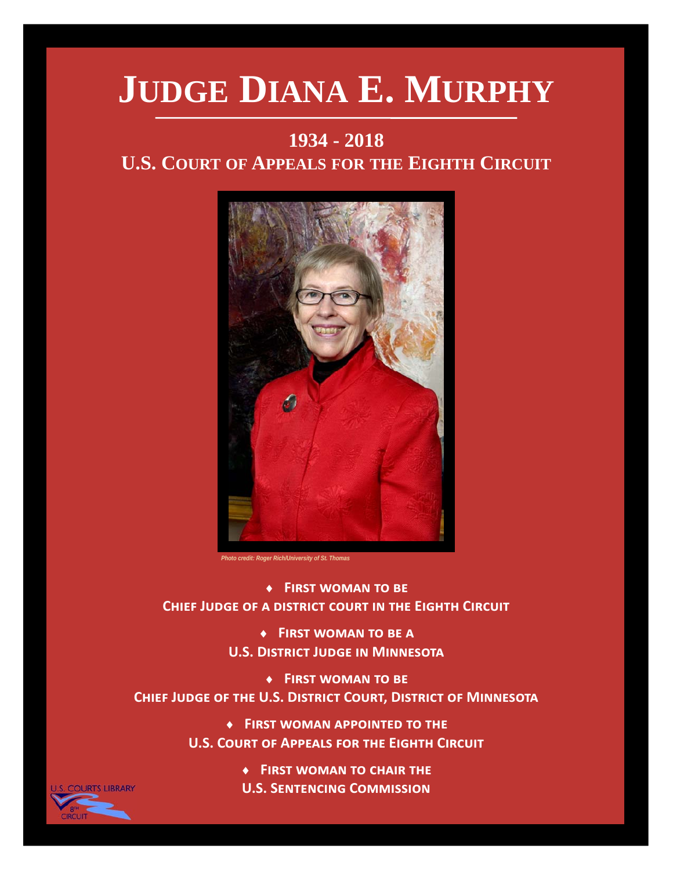# **JUDGE DIANA E. MURPHY**

#### **1934 - 2018**

#### **U.S. COURT OF APPEALS FOR THE EIGHTH CIRCUIT**



*Photo credit: Roger Rich/University of St. Thomas* 

◆ FIRST WOMAN TO BE **CHIEF JUDGE OF A DISTRICT COURT IN THE EIGHTH CIRCUIT** 

> ◆ FIRST WOMAN TO BE A **U.S. DISTRICT JUDGE IN MINNESOTA**

◆ FIRST WOMAN TO BE **CHIEF JUDGE OF THE U.S. DISTRICT COURT, DISTRICT OF MINNESOTA** 

> $\bullet$  **FIRST WOMAN APPOINTED TO THE U.S. COURT OF APPEALS FOR THE EIGHTH CIRCUIT**

> > **A** FIRST WOMAN TO CHAIR THE **U.S. SENTENCING COMMISSION**

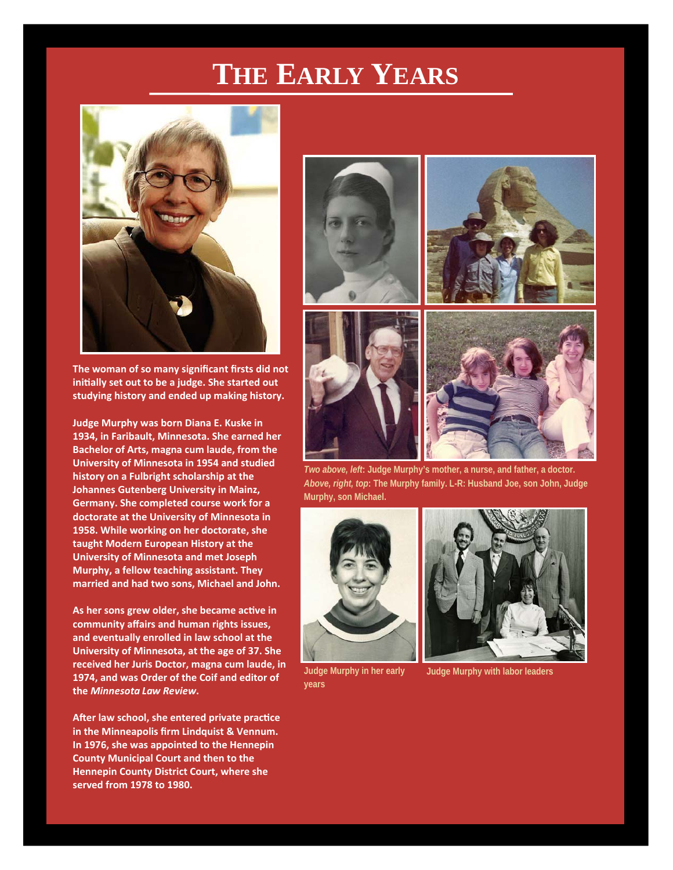## **THE EARLY YEARS**



**The woman of so many significant firsts did not iniƟally set out to be a judge. She started out studying history and ended up making history.** 

**Judge Murphy was born Diana E. Kuske in 1934, in Faribault, Minnesota. She earned her Bachelor of Arts, magna cum laude, from the University of Minnesota in 1954 and studied history on a Fulbright scholarship at the Johannes Gutenberg University in Mainz, Germany. She completed course work for a doctorate at the University of Minnesota in 1958. While working on her doctorate, she taught Modern European History at the University of Minnesota and met Joseph Murphy, a fellow teaching assistant. They married and had two sons, Michael and John.** 

As her sons grew older, she became active in **community affairs and human rights issues, and eventually enrolled in law school at the University of Minnesota, at the age of 37. She received her Juris Doctor, magna cum laude, in 1974, and was Order of the Coif and editor of the** *Minnesota Law Review***.** 

After law school, she entered private practice **in the Minneapolis firm Lindquist & Vennum. In 1976, she was appointed to the Hennepin County Municipal Court and then to the Hennepin County District Court, where she served from 1978 to 1980.** 









*Two above, left***: Judge Murphy's mother, a nurse, and father, a doctor.**  *Above, right, top***: The Murphy family. L-R: Husband Joe, son John, Judge Murphy, son Michael.** 



**Judge Murphy in her early years** 



**Judge Murphy with labor leaders**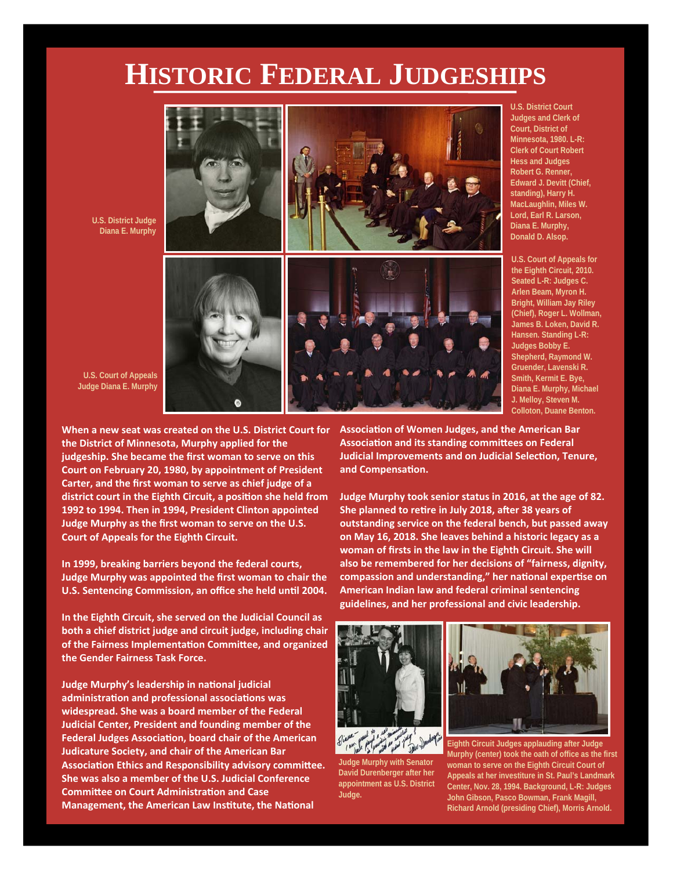### **HISTORIC FEDERAL JUDGESHIPS**



**U.S. District Court Judges and Clerk of Court, District of Minnesota, 1980. L-R: Clerk of Court Robert Hess and Judges Robert G. Renner, Edward J. Devitt (Chief, standing), Harry H. MacLaughlin, Miles W. Lord, Earl R. Larson, Diana E. Murphy, Donald D. Alsop.** 

**U.S. Court of Appeals for the Eighth Circuit, 2010. Seated L-R: Judges C. Arlen Beam, Myron H. Bright, William Jay Riley (Chief), Roger L. Wollman, James B. Loken, David R. Hansen. Standing L-R: Judges Bobby E. Shepherd, Raymond W. Gruender, Lavenski R. Smith, Kermit E. Bye, Diana E. Murphy, Michael J. Melloy, Steven M. Colloton, Duane Benton.** 

**U.S. Court of Appeals Judge Diana E. Murphy** 

**U.S. District Judge Diana E. Murphy** 

**When a new seat was created on the U.S. District Court for the District of Minnesota, Murphy applied for the judgeship. She became the first woman to serve on this Court on February 20, 1980, by appointment of President Carter, and the first woman to serve as chief judge of a district court in the Eighth Circuit, a posiƟon she held from 1992 to 1994. Then in 1994, President Clinton appointed Judge Murphy as the first woman to serve on the U.S. Court of Appeals for the Eighth Circuit.** 

**In 1999, breaking barriers beyond the federal courts, Judge Murphy was appointed the first woman to chair the U.S. Sentencing Commission, an office she held until 2004.** 

**In the Eighth Circuit, she served on the Judicial Council as both a chief district judge and circuit judge, including chair of the Fairness ImplementaƟon CommiƩee, and organized the Gender Fairness Task Force.** 

**Judge Murphy's leadership in naƟonal judicial administraƟon and professional associaƟons was widespread. She was a board member of the Federal Judicial Center, President and founding member of the Federal Judges AssociaƟon, board chair of the American Judicature Society, and chair of the American Bar Association Ethics and Responsibility advisory committee. She was also a member of the U.S. Judicial Conference CommiƩee on Court AdministraƟon and Case Management, the American Law Institute, the National** 

**AssociaƟon of Women Judges, and the American Bar AssociaƟon and its standing commiƩees on Federal Judicial Improvements and on Judicial Selection, Tenure, and CompensaƟon.** 

**Judge Murphy took senior status in 2016, at the age of 82. She planned to retire in July 2018, after 38 years of outstanding service on the federal bench, but passed away on May 16, 2018. She leaves behind a historic legacy as a woman of firsts in the law in the Eighth Circuit. She will also be remembered for her decisions of "fairness, dignity, compassion and understanding," her naƟonal experƟse on American Indian law and federal criminal sentencing guidelines, and her professional and civic leadership.** 



**Judge Murphy with Senator David Durenberger after her appointment as U.S. District Judge.** 



**Eighth Circuit Judges applauding after Judge Murphy (center) took the oath of office as the first woman to serve on the Eighth Circuit Court of Appeals at her investiture in St. Paul's Landmark Center, Nov. 28, 1994. Background, L-R: Judges John Gibson, Pasco Bowman, Frank Magill, Richard Arnold (presiding Chief), Morris Arnold.**